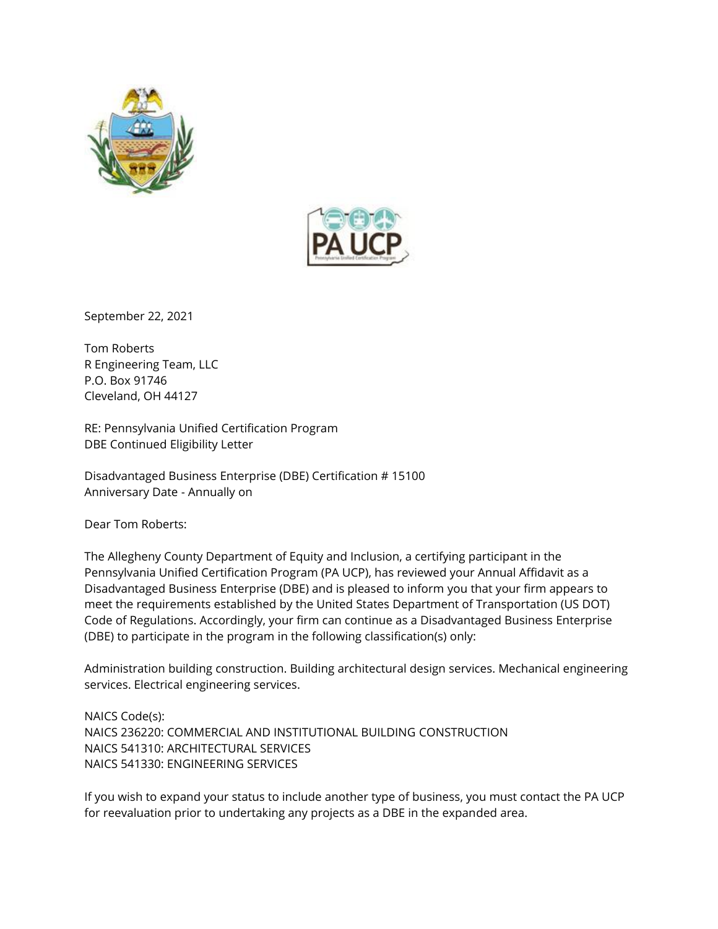



September 22, 2021

Tom Roberts R Engineering Team, LLC P.O. Box 91746 Cleveland, OH 44127

RE: Pennsylvania Unified Certification Program DBE Continued Eligibility Letter

Disadvantaged Business Enterprise (DBE) Certification # 15100 Anniversary Date - Annually on

Dear Tom Roberts:

The Allegheny County Department of Equity and Inclusion, a certifying participant in the Pennsylvania Unified Certification Program (PA UCP), has reviewed your Annual Affidavit as a Disadvantaged Business Enterprise (DBE) and is pleased to inform you that your firm appears to meet the requirements established by the United States Department of Transportation (US DOT) Code of Regulations. Accordingly, your firm can continue as a Disadvantaged Business Enterprise (DBE) to participate in the program in the following classification(s) only:

Administration building construction. Building architectural design services. Mechanical engineering services. Electrical engineering services.

NAICS Code(s): NAICS 236220: COMMERCIAL AND INSTITUTIONAL BUILDING CONSTRUCTION NAICS 541310: ARCHITECTURAL SERVICES NAICS 541330: ENGINEERING SERVICES

If you wish to expand your status to include another type of business, you must contact the PA UCP for reevaluation prior to undertaking any projects as a DBE in the expanded area.